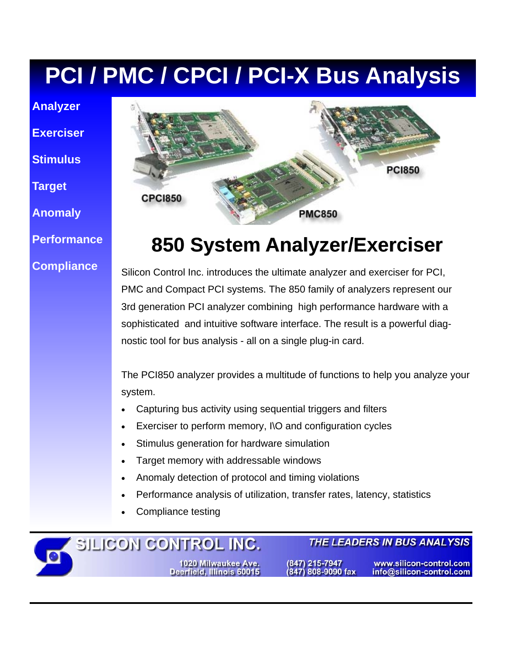# **PCI / PMC / CPCI / PCI-X Bus Analysis**

**Analyzer** 

**Exerciser** 

**Stimulus** 

**Target** 

**Anomaly** 

**Performance** 

#### **Compliance**

 $\overline{\bullet}$ 



# **850 System Analyzer/Exerciser 850 System Analyzer/Exerciser**

Silicon Control Inc. introduces the ultimate analyzer and exerciser for PCI, PMC and Compact PCI systems. The 850 family of analyzers represent our 3rd generation PCI analyzer combining high performance hardware with a sophisticated and intuitive software interface. The result is a powerful diagnostic tool for bus analysis - all on a single plug-in card.

The PCI850 analyzer provides a multitude of functions to help you analyze your system.

- Capturing bus activity using sequential triggers and filters
- Exerciser to perform memory, I\O and configuration cycles
- Stimulus generation for hardware simulation
- Target memory with addressable windows
- Anomaly detection of protocol and timing violations
- Performance analysis of utilization, transfer rates, latency, statistics
- Compliance testing

SILICON CONTROL INC. 1020 Milwaukee Ave.<br>Deerfield, Illinois 60015

(847) 215-7947 847) 808-9090 fax

www.silicon-control.com info@silicon-control.com

THE LEADERS IN BUS ANALYSIS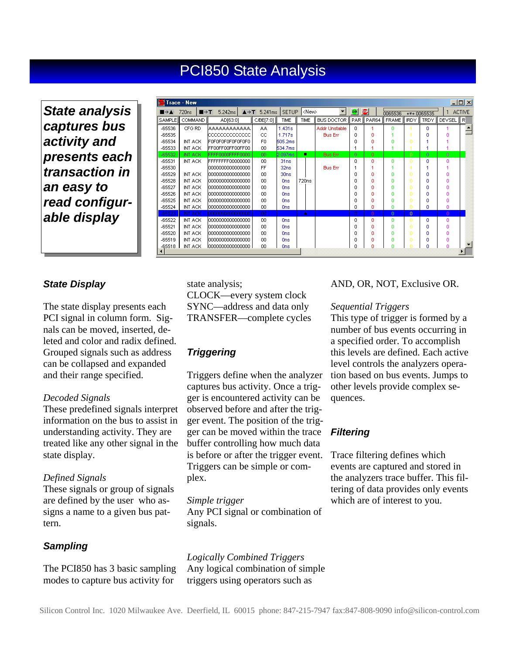### PCI850 State Analysis

*State analysis captures bus activity and presents each transaction in an easy to read configurable display* 

| $\Box$ o $\times$<br>l <del>i</del> Trace - New |                                                      |                   |                                      |              |                   |  |                   |                  |          |              |              |              |                |               |
|-------------------------------------------------|------------------------------------------------------|-------------------|--------------------------------------|--------------|-------------------|--|-------------------|------------------|----------|--------------|--------------|--------------|----------------|---------------|
|                                                 | $\blacksquare \rightarrow \top$<br>720 <sub>ns</sub> | 5.242ms           | $\triangle$ $\rightarrow$ T 5.241 ms | <b>SETUP</b> | $ \langle$ New>   |  |                   | 50               | ⊕        | 0065536      |              | ← T+ 0065535 | 1              | <b>ACTIVE</b> |
| <b>SAMPLE</b>                                   | COMMAND <sup>I</sup>                                 | AD[63:0]          | C/BE[7:0]                            | TIME         | TIME              |  | <b>BUS DOCTOR</b> | PAR <sup>I</sup> | PAR64    | <b>FRAME</b> | IRDY II      | TRDY         | <b>DEVSEL</b>  | R             |
| -65536                                          | CFG RD                                               | laaaaaaaaaaa.     | AA                                   | 1.431s       |                   |  | Addr Unstable     | 0.               |          | n            |              | n            |                |               |
| $-65535$                                        |                                                      | lacacacacacaca    | СC                                   | 1.717s       |                   |  | <b>Bus Err</b>    | 0.               | n        |              |              | n            | n              |               |
| $-65534$                                        | INT ACK                                              | FOFOFOFOFOFOFOFO  | F0.                                  | 505.2ms      |                   |  |                   | n                | n        | n            |              |              |                |               |
| $-65533$                                        | INT ACK                                              | FF00FF00FF00FF00  | 00                                   | 534.7ms      |                   |  |                   | 1                |          |              |              | 1            | 1              |               |
| $-65532$                                        | INT ACK                                              | FFFF0000FFFF0000  | 00                                   | 2.097ms      | п                 |  | <b>Bus Err</b>    | 0                | $\Omega$ |              | $\cup$       | $\Omega$     | $\overline{0}$ |               |
| $-65531$                                        | INT ACK                                              | FFFFFFFF00000000  | 00                                   | 31ns         |                   |  |                   | 0                | n        | ٥            | n            | ٥            | ٥              |               |
| -65530                                          |                                                      | 10000000000000000 | FF                                   | 32ns         |                   |  | <b>Bus Err</b>    |                  |          |              |              |              |                |               |
| $-65529$                                        | INT ACK                                              | 1000000000000000  | 00                                   | 30ns         |                   |  |                   | n                | n        | Ω            |              | n            | ۵              |               |
| $-65528$                                        | INT ACK                                              | 10000000000000000 | 00                                   | Ons:         | 720 <sub>ns</sub> |  |                   | n                | n        | Ω            |              | n            | Ω              |               |
| $-65527$                                        | INT ACK                                              | 10000000000000000 | ΩO                                   | Ons          |                   |  |                   | n                | n        | n            | n            | n            | n              |               |
| $-65526$                                        | INT ACK                                              | 10000000000000000 | 00                                   | Ons          |                   |  |                   | n                | n        | n            | n            | n            | n              |               |
| $-65525$                                        | INT ACK                                              | 10000000000000000 | 00                                   | Ons          |                   |  |                   | n                | n        | n            | n            | n            | 0              |               |
| $-65524$                                        | INT ACK                                              | 0000000000000000  | 00                                   | Ons          |                   |  |                   | n.               | n        | n            | n            | ٥            | n              |               |
| $-65523$                                        | <b>INT ACK</b>                                       | 0000000000000000  | 00                                   |              | A                 |  |                   | O.               | n        | $\Omega$     | $\mathbf{0}$ |              | n              |               |
| $-65522$                                        | INT ACK                                              | 1000000000000000  | 00                                   | <b>Ons</b>   |                   |  |                   | 0                | ٥        | ٥            | o            | ٥            | o              |               |
| $-65521$                                        | INT ACK                                              | 10000000000000000 | 00                                   | Ons          |                   |  |                   | 0                | o        | Ω            | n            | Ω            | o              |               |
| $-65520$                                        | INT ACK                                              | 10000000000000000 | 00                                   | Ons          |                   |  |                   | n                | n        | Ω            | n            | n            | Ω              |               |
| $-65519$                                        | INT ACK                                              | 0000000000000000  | ΩO                                   | Ons          |                   |  |                   | n                | n        | n            |              | n            | n              |               |
| $-65518$                                        | INT ACK                                              | 0000000000000000  | 00                                   | Ons          |                   |  |                   | n                | n        | n            |              | n            | n              |               |
| $\blacktriangleleft$                            |                                                      |                   |                                      |              |                   |  |                   |                  |          |              |              |              |                |               |

#### *State Display*

The state display presents each PCI signal in column form. Signals can be moved, inserted, deleted and color and radix defined. Grouped signals such as address can be collapsed and expanded and their range specified.

#### *Decoded Signals*

These predefined signals interpret information on the bus to assist in understanding activity. They are treated like any other signal in the state display.

#### *Defined Signals*

These signals or group of signals are defined by the user who assigns a name to a given bus pattern.

#### *Sampling*

The PCI850 has 3 basic sampling modes to capture bus activity for

state analysis; CLOCK—every system clock SYNC—address and data only TRANSFER—complete cycles

#### *Triggering*

Triggers define when the analyzer captures bus activity. Once a trigger is encountered activity can be observed before and after the trigger event. The position of the trigger can be moved within the trace buffer controlling how much data is before or after the trigger event. Triggers can be simple or complex.

*Simple trigger*  Any PCI signal or combination of signals.

*Logically Combined Triggers*  Any logical combination of simple triggers using operators such as

#### AND, OR, NOT, Exclusive OR.

#### *Sequential Triggers*

This type of trigger is formed by a number of bus events occurring in a specified order. To accomplish this levels are defined. Each active level controls the analyzers operation based on bus events. Jumps to other levels provide complex sequences.

#### *Filtering*

Trace filtering defines which events are captured and stored in the analyzers trace buffer. This filtering of data provides only events which are of interest to you.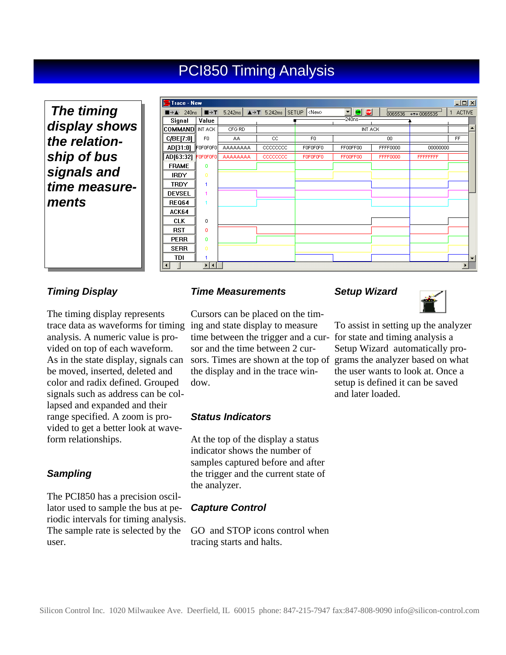## PCI850 Timing Analysis

 *The timing display shows the relationship of bus signals and time measurements* 

| <b>Filtrace - New</b><br>그미지                    |                              |                 |                                           |                |           |                 |                  |                    |  |  |  |  |
|-------------------------------------------------|------------------------------|-----------------|-------------------------------------------|----------------|-----------|-----------------|------------------|--------------------|--|--|--|--|
| $\blacksquare \rightarrow \blacktriangle$ 240ns | $\blacksquare \rightarrow T$ | 5.242ms         | $\triangle$ + T 5.242ms SETUP <new></new> |                | 同量<br>▾∣  | 0065536         | € ₹7 0065535     | <b>ACTIVE</b><br>1 |  |  |  |  |
| Signal                                          | Value                        |                 |                                           |                | $-240ns-$ |                 |                  |                    |  |  |  |  |
| <b>COMMAND</b> INT ACK                          |                              | CFG RD          |                                           |                | INT ACK   |                 |                  |                    |  |  |  |  |
| C/BE[7:0]                                       | F <sub>0</sub>               | AA.             | CC                                        | F <sub>0</sub> |           | 00              |                  | FF                 |  |  |  |  |
| AD[31:0]                                        | FOFOFOFO                     | AAAAAAAA        | CCCCCCCC                                  | F0F0F0F0       | FF00FF00  | FFFF0000        | 00000000         |                    |  |  |  |  |
| AD[63:32] FOFOFOFO                              |                              | <b>AAAAAAAA</b> | cocococo                                  | FOFOFOFO       | FF00FF00  | <b>FFFF0000</b> | <b>FFFFFFFFF</b> |                    |  |  |  |  |
| <b>FRAME</b>                                    | 0                            |                 |                                           |                |           |                 |                  |                    |  |  |  |  |
| <b>IRDY</b>                                     | $\Omega$                     |                 |                                           |                |           |                 |                  |                    |  |  |  |  |
| <b>TRDY</b>                                     | 1                            |                 |                                           |                |           |                 |                  |                    |  |  |  |  |
| <b>DEVSEL</b>                                   | 1                            |                 |                                           |                |           |                 |                  |                    |  |  |  |  |
| <b>REQ64</b>                                    |                              |                 |                                           |                |           |                 |                  |                    |  |  |  |  |
| ACK64                                           |                              |                 |                                           |                |           |                 |                  |                    |  |  |  |  |
| <b>CLK</b>                                      | 0                            |                 |                                           |                |           |                 |                  |                    |  |  |  |  |
| <b>RST</b>                                      | 0                            |                 |                                           |                |           |                 |                  |                    |  |  |  |  |
| <b>PERR</b>                                     | $\mathbf 0$                  |                 |                                           |                |           |                 |                  |                    |  |  |  |  |
| <b>SERR</b>                                     | $\mathbf 0$                  |                 |                                           |                |           |                 |                  |                    |  |  |  |  |
| TDI                                             |                              |                 |                                           |                |           |                 |                  | ▼                  |  |  |  |  |
| $\left  \cdot \right $                          | ⊁ ⊀ ∶                        |                 |                                           |                |           |                 |                  |                    |  |  |  |  |

#### *Timing Display*

The timing display represents trace data as waveforms for timing ing and state display to measure analysis. A numeric value is provided on top of each waveform. As in the state display, signals can be moved, inserted, deleted and color and radix defined. Grouped signals such as address can be collapsed and expanded and their range specified. A zoom is provided to get a better look at waveform relationships.

#### *Sampling*

The PCI850 has a precision oscillator used to sample the bus at periodic intervals for timing analysis. The sample rate is selected by the user.

#### *Time Measurements*

Cursors can be placed on the timtime between the trigger and a cursor and the time between 2 cursors. Times are shown at the top of grams the analyzer based on what the display and in the trace window.

#### *Status Indicators*

At the top of the display a status indicator shows the number of samples captured before and after the trigger and the current state of the analyzer.

#### *Capture Control*

GO and STOP icons control when tracing starts and halts.

#### *Setup Wizard*



To assist in setting up the analyzer for state and timing analysis a Setup Wizard automatically prothe user wants to look at. Once a setup is defined it can be saved and later loaded.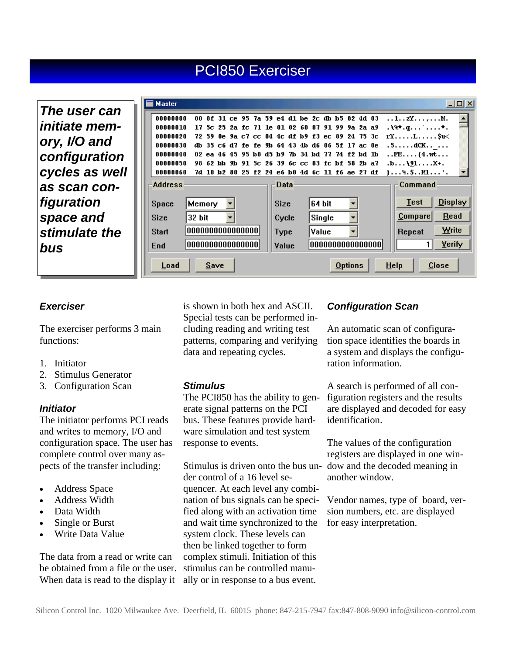## PCI850 Exerciser

*The user can initiate memory, I/O and configuration cycles as well as scan configuration space and stimulate the bus* 

|                                                          | <b>Master</b>  |                  |       |  |  |  |                                                 |  |             |  |        |  |  |                                                 |                                                                                                                         |               | $\Box$ o $\Box$ |
|----------------------------------------------------------|----------------|------------------|-------|--|--|--|-------------------------------------------------|--|-------------|--|--------|--|--|-------------------------------------------------|-------------------------------------------------------------------------------------------------------------------------|---------------|-----------------|
|                                                          | 00000000       | n n              |       |  |  |  | 8f 31 ce 95 7a 59 e4 d1 be 2c db b5 82 4d 03    |  |             |  |        |  |  |                                                 | 1zYM.                                                                                                                   |               |                 |
|                                                          | 00000010       |                  | 17 Sc |  |  |  | 25 2a fc 71 1e 01 02 60 87 91 99 9a 2a a9       |  |             |  |        |  |  |                                                 | $\mathbf{A}$ . $\mathbf{A}$ . $\mathbf{q}$ . $\mathbf{q}$ . $\mathbf{q}$ . $\mathbf{q}$ . $\mathbf{q}$ . $\mathbf{q}$ . |               |                 |
|                                                          | 00000020       |                  | 72 59 |  |  |  | 0e 9a c7 cc 84 4c df b9 f3 ec 89 24 75 3c       |  |             |  |        |  |  |                                                 | $rY$ L $Su$                                                                                                             |               |                 |
|                                                          | 00000030       |                  |       |  |  |  | db 35 c6 d7 fe fe 9b 64 43 4b d6 06 5f 17 ac 0e |  |             |  |        |  |  |                                                 | .5dCK                                                                                                                   |               |                 |
|                                                          | 00000040       |                  |       |  |  |  | 02 ea 46 45 95 b0 d5 b9 7b 34 bd 77 74 f2 bd 1b |  |             |  |        |  |  |                                                 | $\ldots$ FE $\ldots$ {4.wt                                                                                              |               |                 |
|                                                          | 00000050       |                  |       |  |  |  | 98 62 hh 9h 91 5c 26 39 6c cc 83 fc hf 58 2h a7 |  |             |  |        |  |  |                                                 | $\ldots$ .b. $\ldots$ . 191. $\ldots$ . X+.                                                                             |               |                 |
|                                                          | 00000060       |                  |       |  |  |  |                                                 |  |             |  |        |  |  | 7d 10 b2 80 25 f2 24 e6 b0 4d 6c 11 f6 ae 27 df | $\} \ldots$ %. $\}$ . $\ldots$ $\ldots$ '.                                                                              |               |                 |
|                                                          | <b>Address</b> |                  |       |  |  |  |                                                 |  | Data        |  |        |  |  |                                                 | Command                                                                                                                 |               |                 |
|                                                          | Space          | Memory           |       |  |  |  |                                                 |  | <b>Size</b> |  | 64 bit |  |  |                                                 | <b>Test</b>                                                                                                             |               | <b>Display</b>  |
|                                                          | <b>Size</b>    | 32 bit           |       |  |  |  |                                                 |  | Cycle       |  | Single |  |  |                                                 | $_{\text{Compare}}$                                                                                                     |               | Read            |
|                                                          | <b>Start</b>   | 0000000000000000 |       |  |  |  |                                                 |  | <b>Type</b> |  | Value  |  |  |                                                 | Repeat                                                                                                                  | Write         |                 |
|                                                          | End            | 0000000000000000 |       |  |  |  |                                                 |  | Value       |  |        |  |  | 0000000000000000                                |                                                                                                                         | <b>Verify</b> |                 |
| $He$ lp<br><b>Options</b><br>Load<br>$C$ lose<br>$S$ ave |                |                  |       |  |  |  |                                                 |  |             |  |        |  |  |                                                 |                                                                                                                         |               |                 |

#### *Exerciser*

The exerciser performs 3 main functions:

- 1. Initiator
- 2. Stimulus Generator
- 3. Configuration Scan

#### *Initiator*

The initiator performs PCI reads and writes to memory, I/O and configuration space. The user has complete control over many aspects of the transfer including:

- Address Space
- Address Width
- Data Width
- Single or Burst
- Write Data Value

The data from a read or write can be obtained from a file or the user. When data is read to the display it is shown in both hex and ASCII. Special tests can be performed including reading and writing test patterns, comparing and verifying data and repeating cycles.

#### *Stimulus*

The PCI850 has the ability to generate signal patterns on the PCI bus. These features provide hardware simulation and test system response to events.

Stimulus is driven onto the bus un-dow and the decoded meaning in der control of a 16 level sequencer. At each level any combination of bus signals can be specified along with an activation time and wait time synchronized to the system clock. These levels can then be linked together to form complex stimuli. Initiation of this stimulus can be controlled manually or in response to a bus event.

#### *Configuration Scan*

An automatic scan of configuration space identifies the boards in a system and displays the configuration information.

A search is performed of all configuration registers and the results are displayed and decoded for easy identification.

The values of the configuration registers are displayed in one winanother window.

Vendor names, type of board, version numbers, etc. are displayed for easy interpretation.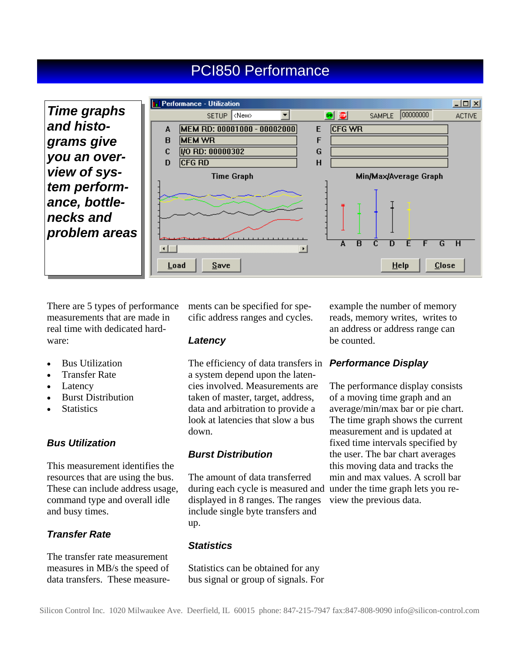## PCI850 Performance



There are 5 types of performance measurements that are made in real time with dedicated hardware:

- Bus Utilization
- Transfer Rate
- Latency
- Burst Distribution
- **Statistics**

#### *Bus Utilization*

This measurement identifies the resources that are using the bus. These can include address usage, command type and overall idle and busy times.

#### *Transfer Rate*

The transfer rate measurement measures in MB/s the speed of data transfers. These measurements can be specified for specific address ranges and cycles.

#### *Latency*

The efficiency of data transfers in a system depend upon the latencies involved. Measurements are taken of master, target, address, data and arbitration to provide a look at latencies that slow a bus down.

#### *Burst Distribution*

The amount of data transferred during each cycle is measured and displayed in 8 ranges. The ranges include single byte transfers and up.

#### *Statistics*

Statistics can be obtained for any bus signal or group of signals. For example the number of memory reads, memory writes, writes to an address or address range can be counted.

#### *Performance Display*

The performance display consists of a moving time graph and an average/min/max bar or pie chart. The time graph shows the current measurement and is updated at fixed time intervals specified by the user. The bar chart averages this moving data and tracks the min and max values. A scroll bar under the time graph lets you review the previous data.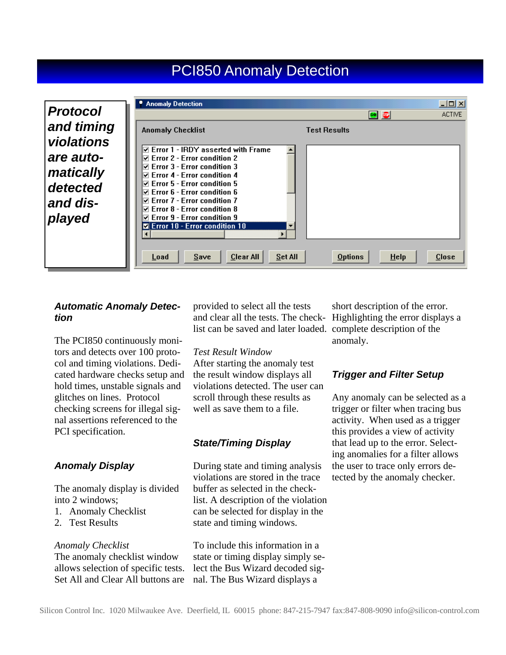### **PCI850 Anomaly Detection**

| <b>Protocol</b>                                              | <b>Anomaly Detection</b>                                                                                                                                                                                                                                                                                                                    | $-10X$<br><b>ACTIVE</b><br>50 50              |
|--------------------------------------------------------------|---------------------------------------------------------------------------------------------------------------------------------------------------------------------------------------------------------------------------------------------------------------------------------------------------------------------------------------------|-----------------------------------------------|
| and timing                                                   | <b>Anomaly Checklist</b>                                                                                                                                                                                                                                                                                                                    | <b>Test Results</b>                           |
| violations<br>are auto-<br>matically<br>detected<br>and dis- | $\boxdot$ Error 1 - IRDY asserted with Frame<br>$\boxtimes$ Error 2 - Error condition 2<br>$\boxdot$ Error 3 - Error condition 3<br>$\nabla$ Error 4 - Error condition 4<br>$\boxdot$ Error 5 - Error condition 5<br>$\boxdot$ Error 6 - Error condition 6<br>$\boxdot$ Error 7 - Error condition 7<br>$\nabla$ Error 8 - Error condition 8 |                                               |
| played                                                       | $\boxdot$ Error 9 - Error condition 9<br><b>Z</b> Error 10 - Error condition 10<br>Clear All<br>Set All<br>Save<br>Load                                                                                                                                                                                                                     | <b>Close</b><br><b>Options</b><br><b>Help</b> |

#### *Automatic Anomaly Detection*

The PCI850 continuously monitors and detects over 100 protocol and timing violations. Dedicated hardware checks setup and hold times, unstable signals and glitches on lines. Protocol checking screens for illegal signal assertions referenced to the PCI specification.

#### *Anomaly Display*

The anomaly display is divided into 2 windows;

- 1. Anomaly Checklist
- 2. Test Results

#### *Anomaly Checklist*

The anomaly checklist window allows selection of specific tests. Set All and Clear All buttons are provided to select all the tests and clear all the tests. The check-Highlighting the error displays a list can be saved and later loaded. complete description of the

#### *Test Result Window*

After starting the anomaly test the result window displays all violations detected. The user can scroll through these results as well as save them to a file.

#### *State/Timing Display*

During state and timing analysis violations are stored in the trace buffer as selected in the checklist. A description of the violation can be selected for display in the state and timing windows.

To include this information in a state or timing display simply select the Bus Wizard decoded signal. The Bus Wizard displays a

short description of the error. anomaly.

#### *Trigger and Filter Setup*

Any anomaly can be selected as a trigger or filter when tracing bus activity. When used as a trigger this provides a view of activity that lead up to the error. Selecting anomalies for a filter allows the user to trace only errors detected by the anomaly checker.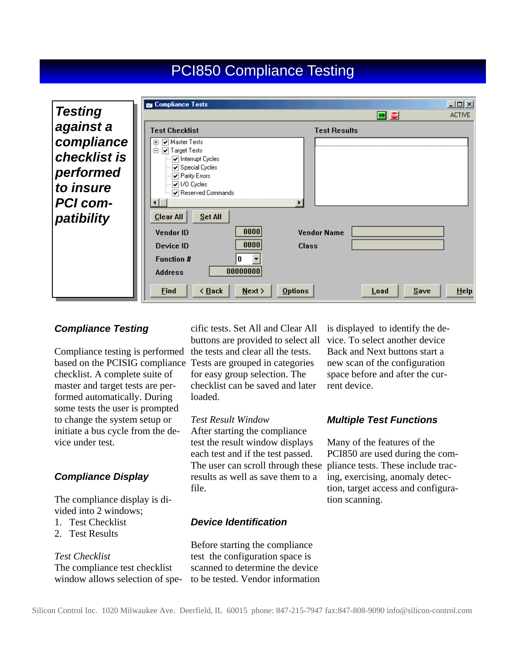### PCI850 Compliance Testing

|                 | Compliance Tests                                                               | 그미지                    |
|-----------------|--------------------------------------------------------------------------------|------------------------|
| <b>Testing</b>  |                                                                                | <b>ACTIVE</b><br>50 10 |
| against a       | <b>Test Checklist</b>                                                          | <b>Test Results</b>    |
| compliance      | Master Tests<br>匣                                                              |                        |
| checklist is    | Ėŀ<br><b>⊽</b> Target Tests<br>$\vert\blacktriangledown\vert$ Interrupt Cycles |                        |
| performed       | ☑ Special Cycles<br>☑ Parity Errors                                            |                        |
| to insure       | $\sqrt{2}$ 1/0 Cycles<br>☑ Reserved Commands                                   |                        |
| <b>PCI com-</b> |                                                                                |                        |
| patibility      | Set All<br><b>Clear All</b>                                                    |                        |
|                 | 0000<br>Vendor ID                                                              | <b>Vendor Name</b>     |
|                 | 0000<br>Device ID<br>Class                                                     |                        |
|                 | <b>Function #</b><br>0                                                         |                        |
|                 | 00000000<br><b>Address</b>                                                     |                        |
|                 | < Back<br>Next<br>Find<br><b>Options</b>                                       | Save<br>HeIp<br>Load   |

#### *Compliance Testing*

Compliance testing is performed the tests and clear all the tests. based on the PCISIG compliance Tests are grouped in categories checklist. A complete suite of master and target tests are performed automatically. During some tests the user is prompted to change the system setup or initiate a bus cycle from the device under test.

#### *Compliance Display*

The compliance display is divided into 2 windows;

- 1. Test Checklist
- 2. Test Results

#### *Test Checklist*

The compliance test checklist window allows selection of specific tests. Set All and Clear All buttons are provided to select all for easy group selection. The checklist can be saved and later loaded.

#### *Test Result Window*

After starting the compliance test the result window displays each test and if the test passed. The user can scroll through these pliance tests. These include tracresults as well as save them to a file.

#### *Device Identification*

Before starting the compliance test the configuration space is scanned to determine the device to be tested. Vendor information is displayed to identify the device. To select another device Back and Next buttons start a new scan of the configuration space before and after the current device.

#### *Multiple Test Functions*

Many of the features of the PCI850 are used during the coming, exercising, anomaly detection, target access and configuration scanning.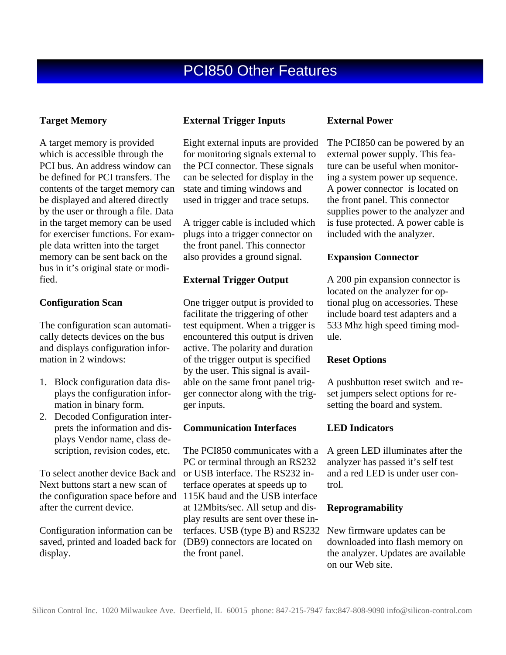#### **Target Memory**

A target memory is provided which is accessible through the PCI bus. An address window can be defined for PCI transfers. The contents of the target memory can be displayed and altered directly by the user or through a file. Data in the target memory can be used for exerciser functions. For example data written into the target memory can be sent back on the bus in it's original state or modified.

#### **Configuration Scan**

The configuration scan automatically detects devices on the bus and displays configuration information in 2 windows:

- 1. Block configuration data displays the configuration information in binary form.
- 2. Decoded Configuration interprets the information and displays Vendor name, class description, revision codes, etc.

To select another device Back and Next buttons start a new scan of the configuration space before and after the current device.

Configuration information can be saved, printed and loaded back for display.

#### **External Trigger Inputs**

Eight external inputs are provided for monitoring signals external to the PCI connector. These signals can be selected for display in the state and timing windows and used in trigger and trace setups.

A trigger cable is included which plugs into a trigger connector on the front panel. This connector also provides a ground signal.

#### **External Trigger Output**

One trigger output is provided to facilitate the triggering of other test equipment. When a trigger is encountered this output is driven active. The polarity and duration of the trigger output is specified by the user. This signal is available on the same front panel trigger connector along with the trigger inputs.

#### **Communication Interfaces**

The PCI850 communicates with a PC or terminal through an RS232 or USB interface. The RS232 interface operates at speeds up to 115K baud and the USB interface at 12Mbits/sec. All setup and display results are sent over these interfaces. USB (type B) and RS232 (DB9) connectors are located on the front panel.

#### **External Power**

The PCI850 can be powered by an external power supply. This feature can be useful when monitoring a system power up sequence. A power connector is located on the front panel. This connector supplies power to the analyzer and is fuse protected. A power cable is included with the analyzer.

#### **Expansion Connector**

A 200 pin expansion connector is located on the analyzer for optional plug on accessories. These include board test adapters and a 533 Mhz high speed timing module.

#### **Reset Options**

A pushbutton reset switch and reset jumpers select options for resetting the board and system.

#### **LED Indicators**

A green LED illuminates after the analyzer has passed it's self test and a red LED is under user control.

#### **Reprogramability**

New firmware updates can be downloaded into flash memory on the analyzer. Updates are available on our Web site.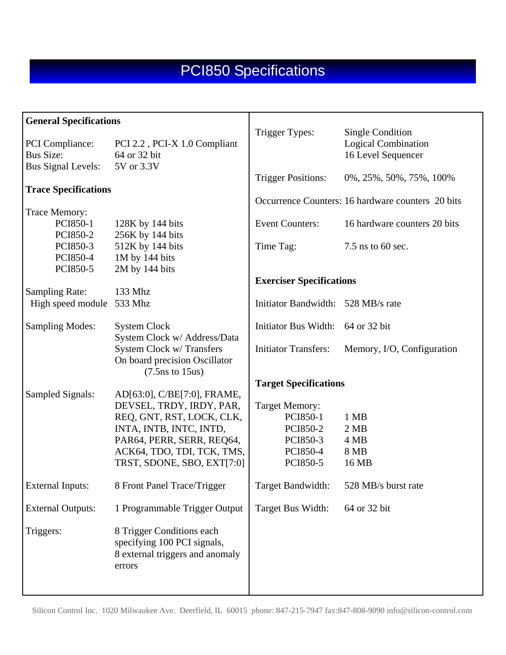| <b>General Specifications</b>         |                                                                                                       | Trigger Types:                     | <b>Single Condition</b>                           |  |  |
|---------------------------------------|-------------------------------------------------------------------------------------------------------|------------------------------------|---------------------------------------------------|--|--|
| PCI Compliance:<br><b>Bus Size:</b>   | PCI 2.2, PCI-X 1.0 Compliant<br>64 or 32 bit                                                          |                                    | <b>Logical Combination</b><br>16 Level Sequencer  |  |  |
| <b>Bus Signal Levels:</b>             | 5V or 3.3V                                                                                            | <b>Trigger Positions:</b>          | 0%, 25%, 50%, 75%, 100%                           |  |  |
| <b>Trace Specifications</b>           |                                                                                                       |                                    | Occurrence Counters: 16 hardware counters 20 bits |  |  |
| Trace Memory:<br>PCI850-1<br>PCI850-2 | 128K by 144 bits<br>256K by 144 bits                                                                  | <b>Event Counters:</b>             | 16 hardware counters 20 bits                      |  |  |
| PCI850-3<br>PCI850-4                  | 512K by 144 bits<br>1M by 144 bits                                                                    | Time Tag:                          | 7.5 ns to 60 sec.                                 |  |  |
| PCI850-5<br><b>Sampling Rate:</b>     | 2M by 144 bits<br>133 Mhz                                                                             | <b>Exerciser Specifications</b>    |                                                   |  |  |
| High speed module                     | 533 Mhz                                                                                               | Initiator Bandwidth: 528 MB/s rate |                                                   |  |  |
| <b>Sampling Modes:</b>                | <b>System Clock</b><br>System Clock w/ Address/Data                                                   | Initiator Bus Width: 64 or 32 bit  |                                                   |  |  |
|                                       | System Clock w/ Transfers<br>On board precision Oscillator<br>$(7.5 \text{ns to } 15 \text{us})$      | <b>Initiator Transfers:</b>        | Memory, I/O, Configuration                        |  |  |
|                                       |                                                                                                       | <b>Target Specifications</b>       |                                                   |  |  |
| Sampled Signals:                      | AD[63:0], C/BE[7:0], FRAME,<br>DEVSEL, TRDY, IRDY, PAR,                                               | <b>Target Memory:</b>              |                                                   |  |  |
|                                       | REQ, GNT, RST, LOCK, CLK,                                                                             | PCI850-1                           | 1 MB                                              |  |  |
|                                       | INTA, INTB, INTC, INTD,                                                                               | PCI850-2                           | 2 MB                                              |  |  |
|                                       | PAR64, PERR, SERR, REQ64,<br>ACK64, TDO, TDI, TCK, TMS,                                               | PCI850-3<br>PCI850-4               | 4 MB<br>8 MB                                      |  |  |
|                                       | TRST, SDONE, SBO, EXT[7:0]                                                                            | PCI850-5                           | 16 MB                                             |  |  |
| <b>External Inputs:</b>               | 8 Front Panel Trace/Trigger                                                                           | Target Bandwidth:                  | 528 MB/s burst rate                               |  |  |
| <b>External Outputs:</b>              | 1 Programmable Trigger Output                                                                         | Target Bus Width:                  | 64 or 32 bit                                      |  |  |
| Triggers:                             | 8 Trigger Conditions each<br>specifying 100 PCI signals,<br>8 external triggers and anomaly<br>errors |                                    |                                                   |  |  |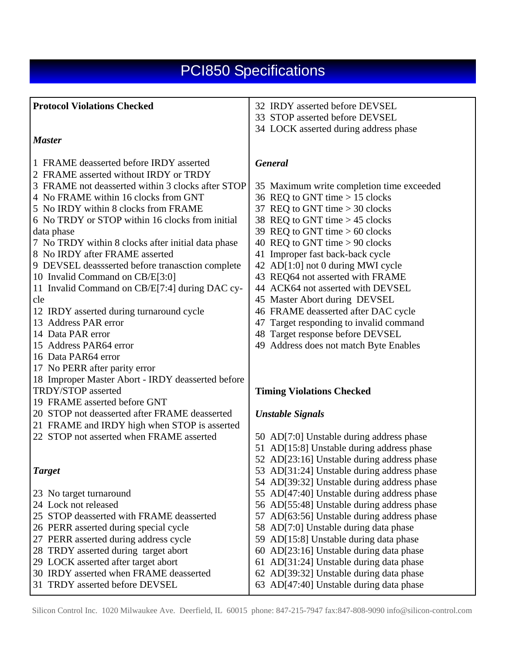| <b>Protocol Violations Checked</b>                 | 32 IRDY asserted before DEVSEL                                                           |
|----------------------------------------------------|------------------------------------------------------------------------------------------|
|                                                    | 33 STOP asserted before DEVSEL                                                           |
|                                                    | 34 LOCK asserted during address phase                                                    |
| <b>Master</b>                                      |                                                                                          |
| 1 FRAME deasserted before IRDY asserted            | <b>General</b>                                                                           |
| 2 FRAME asserted without IRDY or TRDY              |                                                                                          |
| 3 FRAME not deasserted within 3 clocks after STOP  | 35 Maximum write completion time exceeded                                                |
| 4 No FRAME within 16 clocks from GNT               | 36 REQ to GNT time $> 15$ clocks                                                         |
| 5 No IRDY within 8 clocks from FRAME               | 37 REQ to GNT time $>$ 30 clocks                                                         |
| 6 No TRDY or STOP within 16 clocks from initial    | 38 REQ to GNT time > 45 clocks                                                           |
| data phase                                         | 39 REQ to GNT time $> 60$ clocks                                                         |
| 7 No TRDY within 8 clocks after initial data phase | 40 REQ to GNT time $> 90$ clocks                                                         |
| 8 No IRDY after FRAME asserted                     | 41 Improper fast back-back cycle                                                         |
| 9 DEVSEL deassserted before tranasction complete   | 42 AD[1:0] not 0 during MWI cycle                                                        |
| 10 Invalid Command on CB/E[3:0]                    | 43 REQ64 not asserted with FRAME                                                         |
| 11 Invalid Command on CB/E[7:4] during DAC cy-     | 44 ACK64 not asserted with DEVSEL                                                        |
| cle                                                | 45 Master Abort during DEVSEL                                                            |
| 12 IRDY asserted during turnaround cycle           | 46 FRAME deasserted after DAC cycle                                                      |
| 13 Address PAR error                               | 47 Target responding to invalid command                                                  |
| 14 Data PAR error                                  | 48 Target response before DEVSEL                                                         |
| 15 Address PAR64 error                             | 49 Address does not match Byte Enables                                                   |
| 16 Data PAR64 error                                |                                                                                          |
| 17 No PERR after parity error                      |                                                                                          |
| 18 Improper Master Abort - IRDY deasserted before  |                                                                                          |
| <b>TRDY/STOP</b> asserted                          | <b>Timing Violations Checked</b>                                                         |
| 19 FRAME asserted before GNT                       |                                                                                          |
| 20 STOP not deasserted after FRAME deasserted      | <b>Unstable Signals</b>                                                                  |
| 21 FRAME and IRDY high when STOP is asserted       |                                                                                          |
| 22 STOP not asserted when FRAME asserted           | 50 AD[7:0] Unstable during address phase                                                 |
|                                                    | 51 AD[15:8] Unstable during address phase                                                |
|                                                    | 52 AD[23:16] Unstable during address phase                                               |
| <b>Target</b>                                      | 53 AD[31:24] Unstable during address phase                                               |
|                                                    | 54 AD[39:32] Unstable during address phase<br>55 AD[47:40] Unstable during address phase |
| 23 No target turnaround<br>24 Lock not released    | 56 AD[55:48] Unstable during address phase                                               |
| 25 STOP deasserted with FRAME deasserted           | AD[63:56] Unstable during address phase<br>57                                            |
| 26 PERR asserted during special cycle              | 58 AD[7:0] Unstable during data phase                                                    |
| 27 PERR asserted during address cycle              | 59 AD[15:8] Unstable during data phase                                                   |
| 28 TRDY asserted during target abort               | 60 AD[23:16] Unstable during data phase                                                  |
| 29 LOCK asserted after target abort                | AD[31:24] Unstable during data phase<br>61                                               |
| 30 IRDY asserted when FRAME deasserted             | 62 AD[39:32] Unstable during data phase                                                  |
| 31 TRDY asserted before DEVSEL                     | 63 AD[47:40] Unstable during data phase                                                  |
|                                                    |                                                                                          |

Silicon Control Inc. 1020 Milwaukee Ave. Deerfield, IL 60015 phone: 847-215-7947 fax:847-808-9090 info@silicon-control.com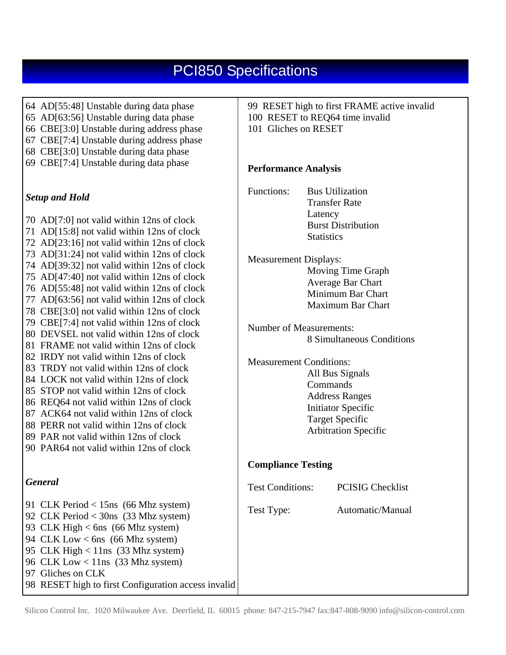| 64 AD[55:48] Unstable during data phase<br>65 AD[63:56] Unstable during data phase<br>66 CBE[3:0] Unstable during address phase<br>67 CBE[7:4] Unstable during address phase<br>68 CBE[3:0] Unstable during data phase                                                                                                 | 99 RESET high to first FRAME active invalid<br>100 RESET to REQ64 time invalid<br>101 Gliches on RESET                  |  |  |  |  |
|------------------------------------------------------------------------------------------------------------------------------------------------------------------------------------------------------------------------------------------------------------------------------------------------------------------------|-------------------------------------------------------------------------------------------------------------------------|--|--|--|--|
| 69 CBE[7:4] Unstable during data phase                                                                                                                                                                                                                                                                                 | <b>Performance Analysis</b>                                                                                             |  |  |  |  |
| <b>Setup and Hold</b>                                                                                                                                                                                                                                                                                                  | Functions:<br><b>Bus Utilization</b><br><b>Transfer Rate</b><br>Latency                                                 |  |  |  |  |
| 70 AD[7:0] not valid within 12ns of clock<br>71 AD[15:8] not valid within 12ns of clock<br>72 AD[23:16] not valid within 12ns of clock                                                                                                                                                                                 | <b>Burst Distribution</b><br><b>Statistics</b>                                                                          |  |  |  |  |
| 73 AD[31:24] not valid within 12ns of clock<br>74 AD[39:32] not valid within 12ns of clock<br>75 AD[47:40] not valid within 12ns of clock<br>76 AD[55:48] not valid within 12ns of clock<br>77 AD[63:56] not valid within 12ns of clock                                                                                | <b>Measurement Displays:</b><br>Moving Time Graph<br>Average Bar Chart<br>Minimum Bar Chart<br><b>Maximum Bar Chart</b> |  |  |  |  |
| 78 CBE[3:0] not valid within 12ns of clock<br>79 CBE[7:4] not valid within 12ns of clock<br>80 DEVSEL not valid within 12ns of clock<br>81 FRAME not valid within 12ns of clock<br>82 IRDY not valid within 12ns of clock                                                                                              | <b>Number of Measurements:</b><br>8 Simultaneous Conditions                                                             |  |  |  |  |
| 83 TRDY not valid within 12ns of clock<br>84 LOCK not valid within 12ns of clock<br>85 STOP not valid within 12ns of clock<br>86 REQ64 not valid within 12ns of clock                                                                                                                                                  | <b>Measurement Conditions:</b><br>All Bus Signals<br>Commands<br><b>Address Ranges</b>                                  |  |  |  |  |
| 87 ACK64 not valid within 12ns of clock<br>88 PERR not valid within 12ns of clock<br>89 PAR not valid within 12ns of clock<br>90 PAR64 not valid within 12ns of clock                                                                                                                                                  | <b>Initiator Specific</b><br><b>Target Specific</b><br>Arbitration Specific                                             |  |  |  |  |
|                                                                                                                                                                                                                                                                                                                        | <b>Compliance Testing</b>                                                                                               |  |  |  |  |
| <b>General</b>                                                                                                                                                                                                                                                                                                         | <b>Test Conditions:</b><br><b>PCISIG Checklist</b>                                                                      |  |  |  |  |
| 91 CLK Period $<$ 15ns (66 Mhz system)<br>92 CLK Period $<$ 30ns (33 Mhz system)<br>93 CLK High $<$ 6ns (66 Mhz system)<br>94 CLK Low < 6ns $(66$ Mhz system)<br>95 CLK High < 11ns (33 Mhz system)<br>96 CLK Low < $11ns$ (33 Mhz system)<br>97 Gliches on CLK<br>98 RESET high to first Configuration access invalid | Automatic/Manual<br>Test Type:                                                                                          |  |  |  |  |

Silicon Control Inc. 1020 Milwaukee Ave. Deerfield, IL 60015 phone: 847-215-7947 fax:847-808-9090 info@silicon-control.com